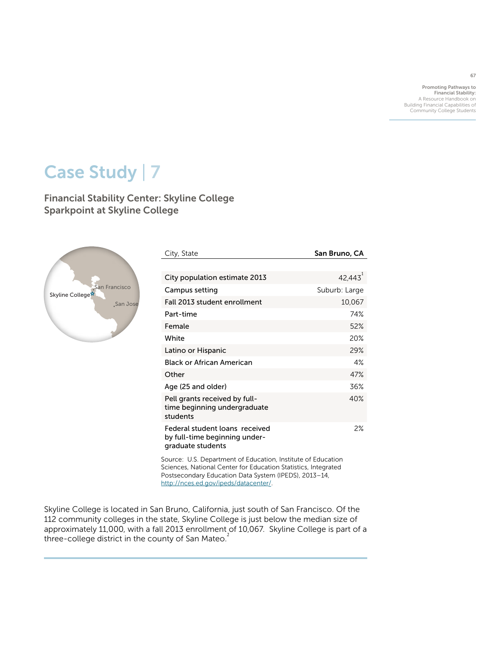Promoting Pathways to Financial Stability: A Resource Handbook on Building Financial Capabilities of Community College Students

# Case Study | 7

Financial Stability Center: Skyline College Sparkpoint at Skyline College



| City, State                                                                          | San Bruno, CA |
|--------------------------------------------------------------------------------------|---------------|
|                                                                                      |               |
| City population estimate 2013                                                        | 42,443        |
| Campus setting                                                                       | Suburb: Large |
| Fall 2013 student enrollment                                                         | 10,067        |
| Part-time                                                                            | 74%           |
| Female                                                                               | 52%           |
| White                                                                                | 20%           |
| Latino or Hispanic                                                                   | 29%           |
| Black or African American                                                            | 4%            |
| Other                                                                                | 47%           |
| Age (25 and older)                                                                   | 36%           |
| Pell grants received by full-<br>time beginning undergraduate<br>students            | 40%           |
| Federal student loans received<br>by full-time beginning under-<br>graduate students | 2%            |

Source: U.S. Department of Education, Institute of Education Sciences, National Center for Education Statistics, Integrated Postsecondary Education Data System (IPEDS), 2013–14, <http://nces.ed.gov/ipeds/datacenter>/.

Skyline College is located in San Bruno, California, just south of San Francisco. Of the 112 community colleges in the state, Skyline College is just below the median size of approximately 11,000, with a fall 2013 enrollment of 10,067. Skyline College is part of a three-college district in the county of San Mateo. $2$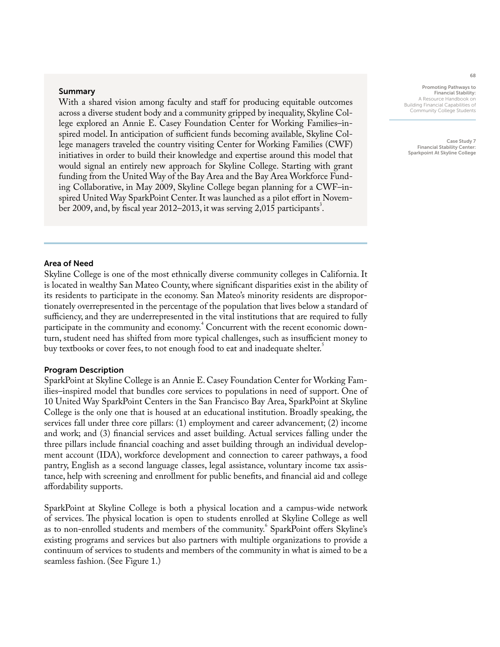## Summary

With a shared vision among faculty and staff for producing equitable outcomes across a diverse student body and a community gripped by inequality, Skyline College explored an Annie E. Casey Foundation Center for Working Families–inspired model. In anticipation of sufficient funds becoming available, Skyline College managers traveled the country visiting Center for Working Families (CWF) initiatives in order to build their knowledge and expertise around this model that would signal an entirely new approach for Skyline College. Starting with grant funding from the United Way of the Bay Area and the Bay Area Workforce Funding Collaborative, in May 2009, Skyline College began planning for a CWF–inspired United Way SparkPoint Center. It was launched as a pilot effort in November 2009, and, by fiscal year 2012–2013, it was serving 2,015 participants<sup>3</sup>.

Promoting Pathways to Financial Stability: A Resource Handbook on Building Financial Capabilities of Community College Students

Case Study 7 Financial Stability Center: Sparkpoint At Skyline College

## Area of Need

Skyline College is one of the most ethnically diverse community colleges in California. It is located in wealthy San Mateo County, where significant disparities exist in the ability of its residents to participate in the economy. San Mateo's minority residents are disproportionately overrepresented in the percentage of the population that lives below a standard of sufficiency, and they are underrepresented in the vital institutions that are required to fully participate in the community and economy.<sup>4</sup> Concurrent with the recent economic downturn, student need has shifted from more typical challenges, such as insufficient money to buy textbooks or cover fees, to not enough food to eat and inadequate shelter.

#### Program Description

SparkPoint at Skyline College is an Annie E. Casey Foundation Center for Working Families–inspired model that bundles core services to populations in need of support. One of 10 United Way SparkPoint Centers in the San Francisco Bay Area, SparkPoint at Skyline College is the only one that is housed at an educational institution. Broadly speaking, the services fall under three core pillars: (1) employment and career advancement; (2) income and work; and (3) financial services and asset building. Actual services falling under the three pillars include financial coaching and asset building through an individual development account (IDA), workforce development and connection to career pathways, a food pantry, English as a second language classes, legal assistance, voluntary income tax assistance, help with screening and enrollment for public benefits, and financial aid and college affordability supports.

SparkPoint at Skyline College is both a physical location and a campus-wide network of services. The physical location is open to students enrolled at Skyline College as well as to non-enrolled students and members of the community.<sup>6</sup> SparkPoint offers Skyline's existing programs and services but also partners with multiple organizations to provide a continuum of services to students and members of the community in what is aimed to be a seamless fashion. (See Figure 1.)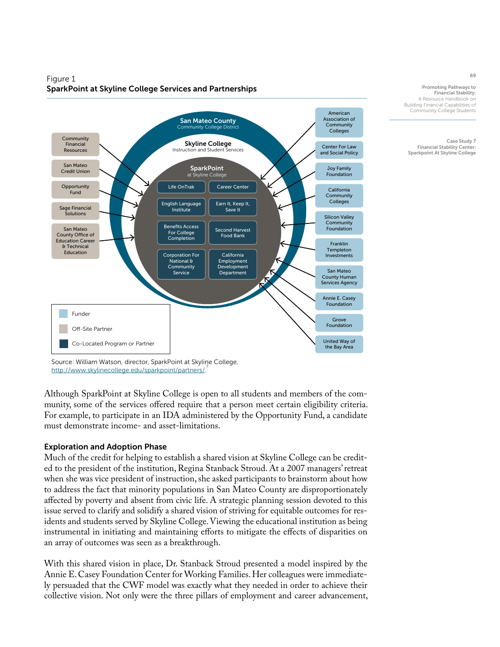

## Figure 1 SparkPoint at Skyline College Services and Partnerships

Source: William Watson, director, SparkPoint at Skyline College, 7 http://www.skylinecollege.edu/sparkpoint/partners/.

Although SparkPoint at Skyline College is open to all students and members of the community, some of the services offered require that a person meet certain eligibility criteria. For example, to participate in an IDA administered by the Opportunity Fund, a candidate must demonstrate income- and asset-limitations.

## Exploration and Adoption Phase

Much of the credit for helping to establish a shared vision at Skyline College can be credited to the president of the institution, Regina Stanback Stroud. At a 2007 managers' retreat when she was vice president of instruction, she asked participants to brainstorm about how to address the fact that minority populations in San Mateo County are disproportionately affected by poverty and absent from civic life. A strategic planning session devoted to this issue served to clarify and solidify a shared vision of striving for equitable outcomes for residents and students served by Skyline College. Viewing the educational institution as being instrumental in initiating and maintaining efforts to mitigate the effects of disparities on an array of outcomes was seen as a breakthrough.

With this shared vision in place, Dr. Stanback Stroud presented a model inspired by the Annie E. Casey Foundation Center for Working Families. Her colleagues were immediately persuaded that the CWF model was exactly what they needed in order to achieve their collective vision. Not only were the three pillars of employment and career advancement,

69

Promoting Pathways to Financial Stability: A Resource Handbook on Building Financial Capabilities of Community College Students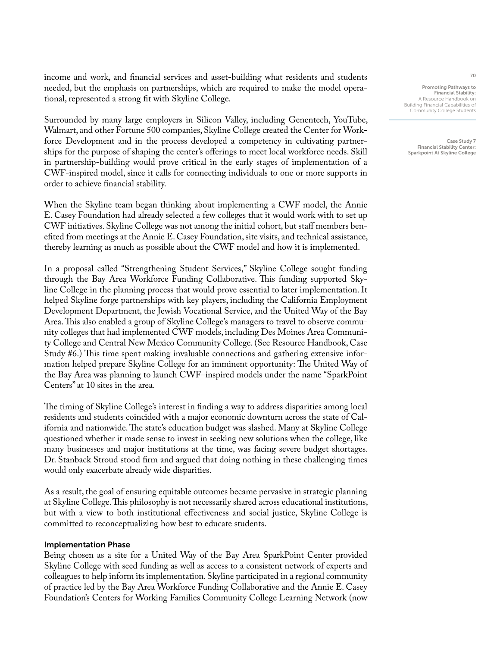income and work, and financial services and asset-building what residents and students needed, but the emphasis on partnerships, which are required to make the model operational, represented a strong fit with Skyline College.

Surrounded by many large employers in Silicon Valley, including Genentech, YouTube, Walmart, and other Fortune 500 companies, Skyline College created the Center for Workforce Development and in the process developed a competency in cultivating partnerships for the purpose of shaping the center's offerings to meet local workforce needs. Skill in partnership-building would prove critical in the early stages of implementation of a CWF-inspired model, since it calls for connecting individuals to one or more supports in order to achieve financial stability.

When the Skyline team began thinking about implementing a CWF model, the Annie E. Casey Foundation had already selected a few colleges that it would work with to set up CWF initiatives. Skyline College was not among the initial cohort, but staff members benefited from meetings at the Annie E. Casey Foundation, site visits, and technical assistance, thereby learning as much as possible about the CWF model and how it is implemented.

In a proposal called "Strengthening Student Services," Skyline College sought funding through the Bay Area Workforce Funding Collaborative. This funding supported Skyline College in the planning process that would prove essential to later implementation. It helped Skyline forge partnerships with key players, including the California Employment Development Department, the Jewish Vocational Service, and the United Way of the Bay Area. This also enabled a group of Skyline College's managers to travel to observe community colleges that had implemented CWF models, including Des Moines Area Community College and Central New Mexico Community College. (See Resource Handbook, Case Study #6.) This time spent making invaluable connections and gathering extensive information helped prepare Skyline College for an imminent opportunity: The United Way of the Bay Area was planning to launch CWF–inspired models under the name "SparkPoint Centers" at 10 sites in the area.

The timing of Skyline College's interest in finding a way to address disparities among local residents and students coincided with a major economic downturn across the state of California and nationwide. The state's education budget was slashed. Many at Skyline College questioned whether it made sense to invest in seeking new solutions when the college, like many businesses and major institutions at the time, was facing severe budget shortages. Dr. Stanback Stroud stood firm and argued that doing nothing in these challenging times would only exacerbate already wide disparities.

As a result, the goal of ensuring equitable outcomes became pervasive in strategic planning at Skyline College. This philosophy is not necessarily shared across educational institutions, but with a view to both institutional effectiveness and social justice, Skyline College is committed to reconceptualizing how best to educate students.

#### Implementation Phase

Being chosen as a site for a United Way of the Bay Area SparkPoint Center provided Skyline College with seed funding as well as access to a consistent network of experts and colleagues to help inform its implementation. Skyline participated in a regional community of practice led by the Bay Area Workforce Funding Collaborative and the Annie E. Casey Foundation's Centers for Working Families Community College Learning Network (now

Promoting Pathways to Financial Stability: A Resource Handbook on Building Financial Capabilities of Community College Students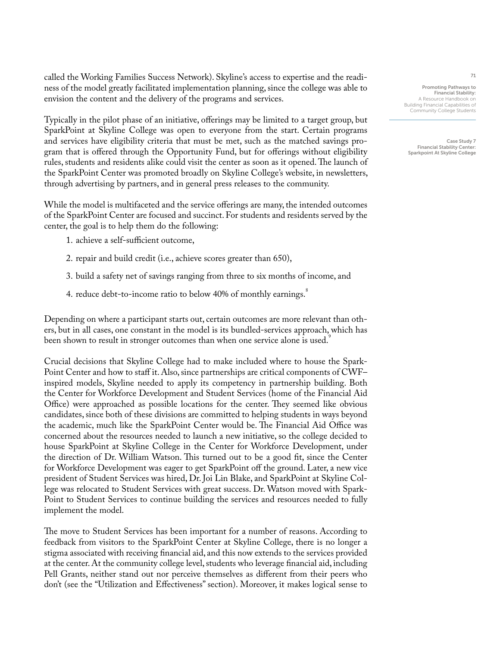called the Working Families Success Network). Skyline's access to expertise and the readiness of the model greatly facilitated implementation planning, since the college was able to envision the content and the delivery of the programs and services.

Typically in the pilot phase of an initiative, offerings may be limited to a target group, but SparkPoint at Skyline College was open to everyone from the start. Certain programs and services have eligibility criteria that must be met, such as the matched savings program that is offered through the Opportunity Fund, but for offerings without eligibility rules, students and residents alike could visit the center as soon as it opened. The launch of the SparkPoint Center was promoted broadly on Skyline College's website, in newsletters, through advertising by partners, and in general press releases to the community.

While the model is multifaceted and the service offerings are many, the intended outcomes of the SparkPoint Center are focused and succinct. For students and residents served by the center, the goal is to help them do the following:

- 1. achieve a self-sufficient outcome,
- 2. repair and build credit (i.e., achieve scores greater than 650),
- 3. build a safety net of savings ranging from three to six months of income, and
- 4. reduce debt-to-income ratio to below 40% of monthly earnings.<sup>8</sup>

Depending on where a participant starts out, certain outcomes are more relevant than others, but in all cases, one constant in the model is its bundled-services approach, which has been shown to result in stronger outcomes than when one service alone is used.<sup>5</sup>

Crucial decisions that Skyline College had to make included where to house the Spark-Point Center and how to staff it. Also, since partnerships are critical components of CWF– inspired models, Skyline needed to apply its competency in partnership building. Both the Center for Workforce Development and Student Services (home of the Financial Aid Office) were approached as possible locations for the center. They seemed like obvious candidates, since both of these divisions are committed to helping students in ways beyond the academic, much like the SparkPoint Center would be. The Financial Aid Office was concerned about the resources needed to launch a new initiative, so the college decided to house SparkPoint at Skyline College in the Center for Workforce Development, under the direction of Dr. William Watson. This turned out to be a good fit, since the Center for Workforce Development was eager to get SparkPoint off the ground. Later, a new vice president of Student Services was hired, Dr. Joi Lin Blake, and SparkPoint at Skyline College was relocated to Student Services with great success. Dr. Watson moved with Spark-Point to Student Services to continue building the services and resources needed to fully implement the model.

The move to Student Services has been important for a number of reasons. According to feedback from visitors to the SparkPoint Center at Skyline College, there is no longer a stigma associated with receiving financial aid, and this now extends to the services provided at the center. At the community college level, students who leverage financial aid, including Pell Grants, neither stand out nor perceive themselves as different from their peers who don't (see the "Utilization and Effectiveness" section). Moreover, it makes logical sense to

Promoting Pathways to Financial Stability: A Resource Handbook on Building Financial Capabilities of Community College Students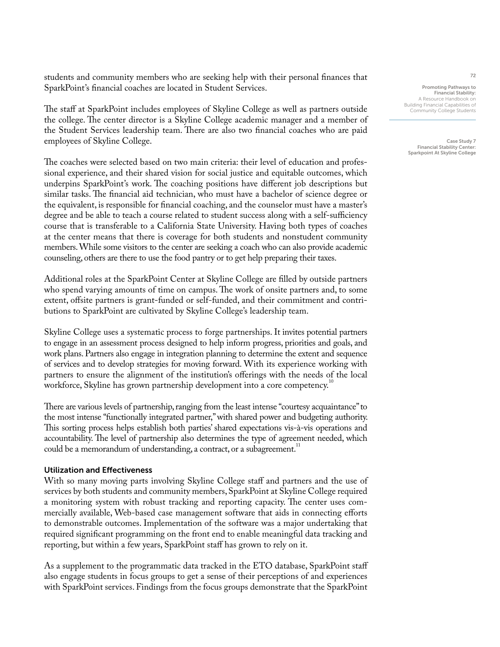students and community members who are seeking help with their personal finances that SparkPoint's financial coaches are located in Student Services.

The staff at SparkPoint includes employees of Skyline College as well as partners outside the college. The center director is a Skyline College academic manager and a member of the Student Services leadership team. There are also two financial coaches who are paid employees of Skyline College.

The coaches were selected based on two main criteria: their level of education and professional experience, and their shared vision for social justice and equitable outcomes, which underpins SparkPoint's work. The coaching positions have different job descriptions but similar tasks. The financial aid technician, who must have a bachelor of science degree or the equivalent, is responsible for financial coaching, and the counselor must have a master's degree and be able to teach a course related to student success along with a self-sufficiency course that is transferable to a California State University. Having both types of coaches at the center means that there is coverage for both students and nonstudent community members. While some visitors to the center are seeking a coach who can also provide academic counseling, others are there to use the food pantry or to get help preparing their taxes.

Additional roles at the SparkPoint Center at Skyline College are filled by outside partners who spend varying amounts of time on campus. The work of onsite partners and, to some extent, offsite partners is grant-funded or self-funded, and their commitment and contributions to SparkPoint are cultivated by Skyline College's leadership team.

Skyline College uses a systematic process to forge partnerships. It invites potential partners to engage in an assessment process designed to help inform progress, priorities and goals, and work plans. Partners also engage in integration planning to determine the extent and sequence of services and to develop strategies for moving forward. With its experience working with partners to ensure the alignment of the institution's offerings with the needs of the local workforce, Skyline has grown partnership development into a core competency.<sup>10</sup>

There are various levels of partnership, ranging from the least intense "courtesy acquaintance" to the most intense "functionally integrated partner," with shared power and budgeting authority. This sorting process helps establish both parties' shared expectations vis-à-vis operations and accountability. The level of partnership also determines the type of agreement needed, which could be a memorandum of understanding, a contract, or a subagreement.<sup>11</sup>

## Utilization and Effectiveness

With so many moving parts involving Skyline College staff and partners and the use of services by both students and community members, SparkPoint at Skyline College required a monitoring system with robust tracking and reporting capacity. The center uses commercially available, Web-based case management software that aids in connecting efforts to demonstrable outcomes. Implementation of the software was a major undertaking that required significant programming on the front end to enable meaningful data tracking and reporting, but within a few years, SparkPoint staff has grown to rely on it.

As a supplement to the programmatic data tracked in the ETO database, SparkPoint staff also engage students in focus groups to get a sense of their perceptions of and experiences with SparkPoint services. Findings from the focus groups demonstrate that the SparkPoint

Promoting Pathways to Financial Stability: A Resource Handbook on Building Financial Capabilities of Community College Students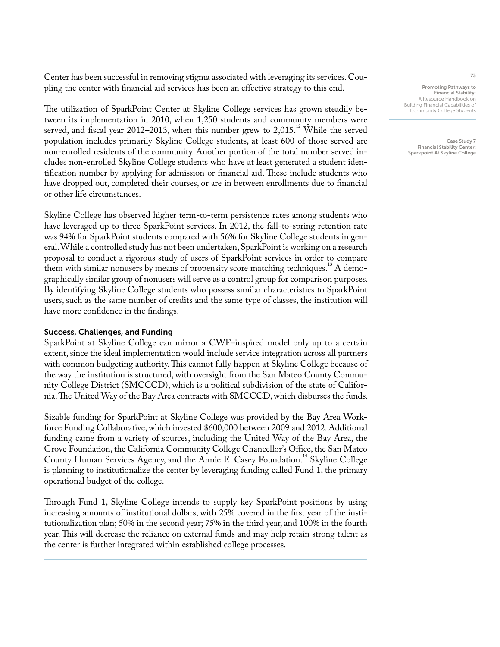Center has been successful in removing stigma associated with leveraging its services. Coupling the center with financial aid services has been an effective strategy to this end.

The utilization of SparkPoint Center at Skyline College services has grown steadily between its implementation in 2010, when 1,250 students and community members were served, and fiscal year 2012–2013, when this number grew to  $2,015$ .<sup>12</sup> While the served population includes primarily Skyline College students, at least 600 of those served are non-enrolled residents of the community. Another portion of the total number served includes non-enrolled Skyline College students who have at least generated a student identification number by applying for admission or financial aid. These include students who have dropped out, completed their courses, or are in between enrollments due to financial or other life circumstances.

Skyline College has observed higher term-to-term persistence rates among students who have leveraged up to three SparkPoint services. In 2012, the fall-to-spring retention rate was 94% for SparkPoint students compared with 56% for Skyline College students in general. While a controlled study has not been undertaken, SparkPoint is working on a research proposal to conduct a rigorous study of users of SparkPoint services in order to compare them with similar nonusers by means of propensity score matching techniques.<sup>13</sup> A demographically similar group of nonusers will serve as a control group for comparison purposes. By identifying Skyline College students who possess similar characteristics to SparkPoint users, such as the same number of credits and the same type of classes, the institution will have more confidence in the findings.

## Success, Challenges, and Funding

SparkPoint at Skyline College can mirror a CWF–inspired model only up to a certain extent, since the ideal implementation would include service integration across all partners with common budgeting authority. This cannot fully happen at Skyline College because of the way the institution is structured, with oversight from the San Mateo County Community College District (SMCCCD), which is a political subdivision of the state of California. The United Way of the Bay Area contracts with SMCCCD, which disburses the funds.

Sizable funding for SparkPoint at Skyline College was provided by the Bay Area Workforce Funding Collaborative, which invested \$600,000 between 2009 and 2012. Additional funding came from a variety of sources, including the United Way of the Bay Area, the Grove Foundation, the California Community College Chancellor's Office, the San Mateo County Human Services Agency, and the Annie E. Casey Foundation.<sup>14</sup> Skyline College is planning to institutionalize the center by leveraging funding called Fund 1, the primary operational budget of the college.

Through Fund 1, Skyline College intends to supply key SparkPoint positions by using increasing amounts of institutional dollars, with 25% covered in the first year of the institutionalization plan; 50% in the second year; 75% in the third year, and 100% in the fourth year. This will decrease the reliance on external funds and may help retain strong talent as the center is further integrated within established college processes.

Promoting Pathways to Financial Stability: A Resource Handbook on Building Financial Capabilities of Community College Students